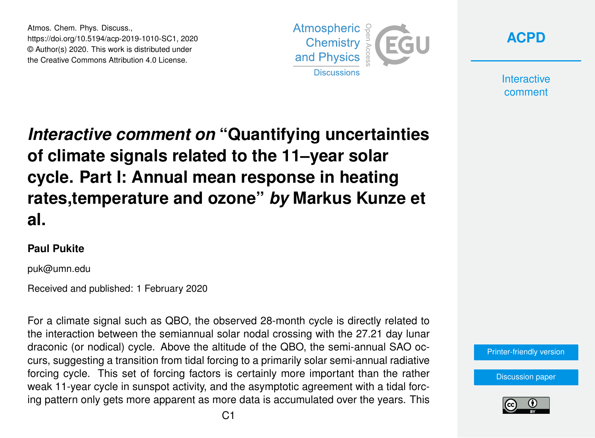Atmos. Chem. Phys. Discuss., https://doi.org/10.5194/acp-2019-1010-SC1, 2020 © Author(s) 2020. This work is distributed under the Creative Commons Attribution 4.0 License.





**Interactive** comment

## *Interactive comment on* **"Quantifying uncertainties of climate signals related to the 11–year solar cycle. Part I: Annual mean response in heating rates,temperature and ozone"** *by* **Markus Kunze et al.**

## **Paul Pukite**

puk@umn.edu

Received and published: 1 February 2020

For a climate signal such as QBO, the observed 28-month cycle is directly related to the interaction between the semiannual solar nodal crossing with the 27.21 day lunar draconic (or nodical) cycle. Above the altitude of the QBO, the semi-annual SAO occurs, suggesting a transition from tidal forcing to a primarily solar semi-annual radiative forcing cycle. This set of forcing factors is certainly more important than the rather weak 11-year cycle in sunspot activity, and the asymptotic agreement with a tidal forcing pattern only gets more apparent as more data is accumulated over the years. This

[Printer-friendly version](https://www.atmos-chem-phys-discuss.net/acp-2019-1010/acp-2019-1010-SC1-print.pdf)

[Discussion paper](https://www.atmos-chem-phys-discuss.net/acp-2019-1010)

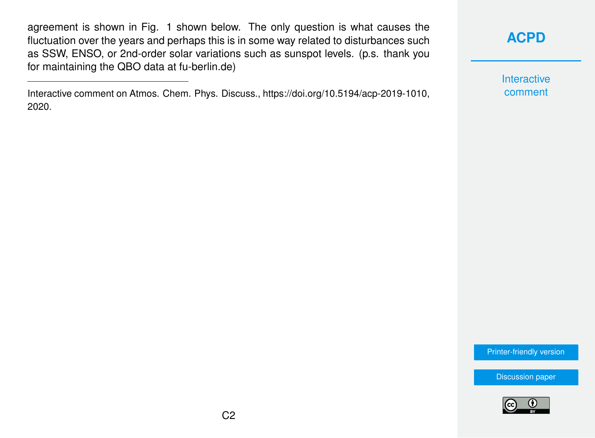agreement is shown in Fig. 1 shown below. The only question is what causes the fluctuation over the years and perhaps this is in some way related to disturbances such as SSW, ENSO, or 2nd-order solar variations such as sunspot levels. (p.s. thank you for maintaining the QBO data at fu-berlin.de)

Interactive comment on Atmos. Chem. Phys. Discuss., https://doi.org/10.5194/acp-2019-1010, 2020.

## **[ACPD](https://www.atmos-chem-phys-discuss.net/)**

Interactive comment

[Printer-friendly version](https://www.atmos-chem-phys-discuss.net/acp-2019-1010/acp-2019-1010-SC1-print.pdf)

[Discussion paper](https://www.atmos-chem-phys-discuss.net/acp-2019-1010)